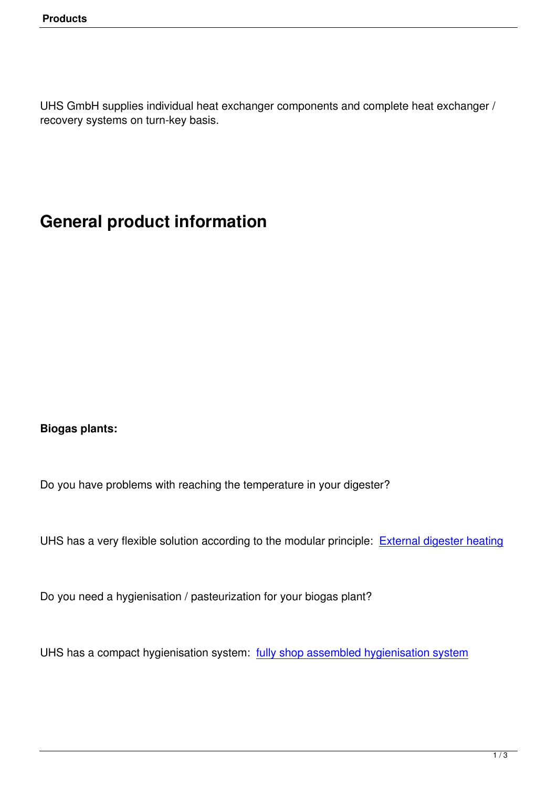UHS GmbH supplies individual heat exchanger components and complete heat exchanger / recovery systems on turn-key basis.

## **General product information**

**Biogas plants:**

Do you have problems with reaching the temperature in your digester?

UHS has a very flexible solution according to the modular principle: External digester heating

Do you need a hygienisation / pasteurization for your biogas plant?

UHS has a compact hygienisation system: fully shop assembled hygienisation system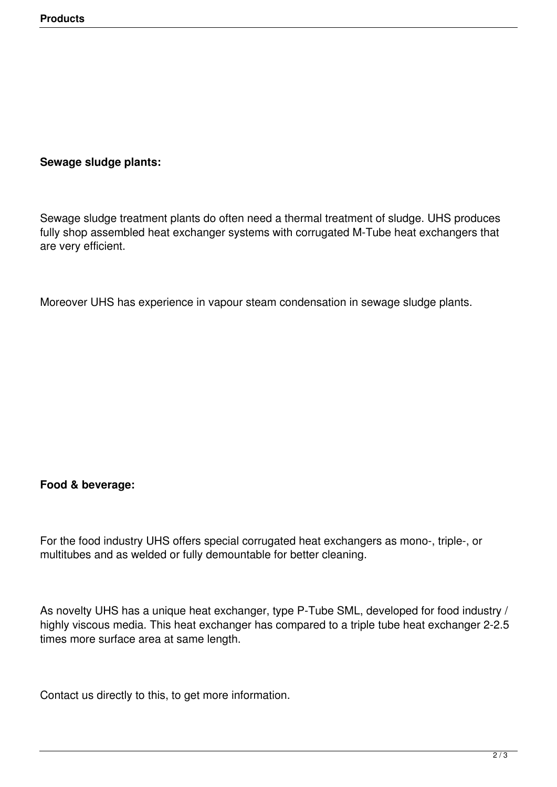## **Sewage sludge plants:**

Sewage sludge treatment plants do often need a thermal treatment of sludge. UHS produces fully shop assembled heat exchanger systems with corrugated M-Tube heat exchangers that are very efficient.

Moreover UHS has experience in vapour steam condensation in sewage sludge plants.

## **Food & beverage:**

For the food industry UHS offers special corrugated heat exchangers as mono-, triple-, or multitubes and as welded or fully demountable for better cleaning.

As novelty UHS has a unique heat exchanger, type P-Tube SML, developed for food industry / highly viscous media. This heat exchanger has compared to a triple tube heat exchanger 2-2.5 times more surface area at same length.

Contact us directly to this, to get more information.